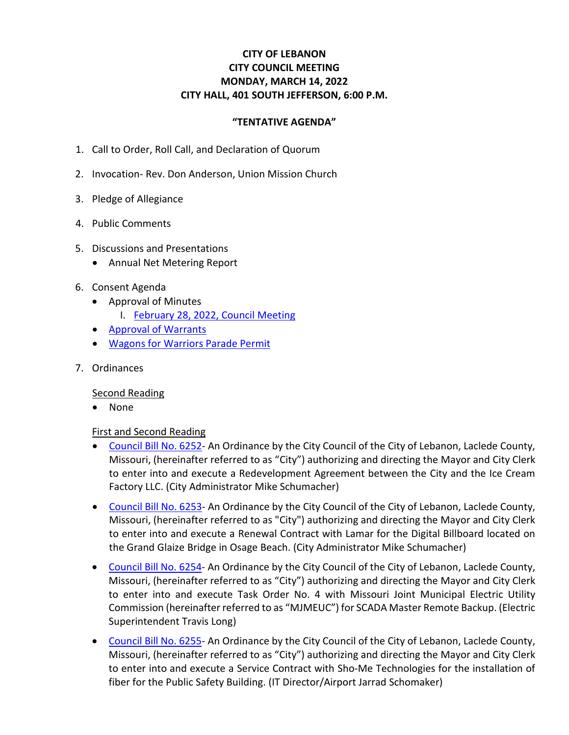# **CITY OF LEBANON CITY COUNCIL MEETING MONDAY, MARCH 14, 2022 CITY HALL, 401 SOUTH JEFFERSON, 6:00 P.M.**

### **"TENTATIVE AGENDA"**

- 1. Call to Order, Roll Call, and Declaration of Quorum
- 2. Invocation- Rev. Don Anderson, Union Mission Church
- 3. Pledge of Allegiance
- 4. Public Comments
- 5. Discussions and Presentations
	- Annual Net Metering Report
- 6. Consent Agenda
	- Approval of Minutes
		- I. February [28, 2022, Council Meeting](https://www.lebanonmissouri.org/DocumentCenter/View/35948/02-28-22-Draft-Minutes)
	- [Approval of Warrants](https://www.lebanonmissouri.org/DocumentCenter/View/35935/Warrants)
	- Wagons [for Warriors Parade Permit](https://www.lebanonmissouri.org/DocumentCenter/View/35937/Wagons-for-Warriors-Parade)
- 7. Ordinances

#### Second Reading

• None

#### First and Second Reading

- [Council Bill No. 6252-](https://www.lebanonmissouri.org/DocumentCenter/View/35945/Council-Bill-No-6252--Agreement-Ice-Cream-Factory-Redevelopment) An Ordinance by the City Council of the City of Lebanon, Laclede County, Missouri, (hereinafter referred to as "City") authorizing and directing the Mayor and City Clerk to enter into and execute a Redevelopment Agreement between the City and the Ice Cream Factory LLC. (City Administrator Mike Schumacher)
- [Council Bill No. 6253-](https://www.lebanonmissouri.org/DocumentCenter/View/35938/Council-Bill-No-6253--Contract-Grand-Glaize-Bridge-on-Hwy-54-Billboard-Advertisement-Lamar) An Ordinance by the City Council of the City of Lebanon, Laclede County, Missouri, (hereinafter referred to as "City") authorizing and directing the Mayor and City Clerk to enter into and execute a Renewal Contract with Lamar for the Digital Billboard located on the Grand Glaize Bridge in Osage Beach. (City Administrator Mike Schumacher)
- [Council Bill No. 6254-](https://www.lebanonmissouri.org/DocumentCenter/View/35939/Council-Bill-No-6254--Task-Order-No-4-SCADA-Master-Remote-Backup-MJMEUC) An Ordinance by the City Council of the City of Lebanon, Laclede County, Missouri, (hereinafter referred to as "City") authorizing and directing the Mayor and City Clerk to enter into and execute Task Order No. 4 with Missouri Joint Municipal Electric Utility Commission (hereinafter referred to as "MJMEUC") for SCADA Master Remote Backup. (Electric Superintendent Travis Long)
- [Council Bill No. 6255-](https://www.lebanonmissouri.org/DocumentCenter/View/35940/Council-Bill-No-6255--Service-Contract-Public-Safety-Building-Fiber-Sho-Me-Technologies) An Ordinance by the City Council of the City of Lebanon, Laclede County, Missouri, (hereinafter referred to as "City") authorizing and directing the Mayor and City Clerk to enter into and execute a Service Contract with Sho-Me Technologies for the installation of fiber for the Public Safety Building. (IT Director/Airport Jarrad Schomaker)